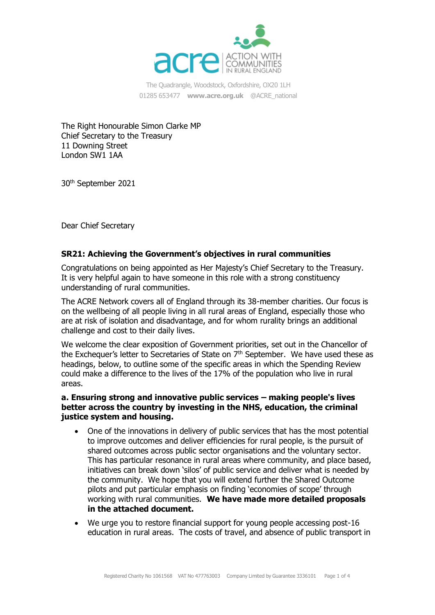

The Quadrangle, Woodstock, Oxfordshire, OX20 1LH 01285 653477 **[www.acre.org.uk](http://www.acre.org.uk/)** @ACRE\_national

The Right Honourable Simon Clarke MP Chief Secretary to the Treasury 11 Downing Street London SW1 1AA

30th September 2021

Dear Chief Secretary

#### **SR21: Achieving the Government's objectives in rural communities**

Congratulations on being appointed as Her Majesty's Chief Secretary to the Treasury. It is very helpful again to have someone in this role with a strong constituency understanding of rural communities.

The ACRE Network covers all of England through its 38-member charities. Our focus is on the wellbeing of all people living in all rural areas of England, especially those who are at risk of isolation and disadvantage, and for whom rurality brings an additional challenge and cost to their daily lives.

We welcome the clear exposition of Government priorities, set out in the Chancellor of the Exchequer's letter to Secretaries of State on  $7<sup>th</sup>$  September. We have used these as headings, below, to outline some of the specific areas in which the Spending Review could make a difference to the lives of the 17% of the population who live in rural areas.

## **a. Ensuring strong and innovative public services – making people's lives better across the country by investing in the NHS, education, the criminal justice system and housing.**

- One of the innovations in delivery of public services that has the most potential to improve outcomes and deliver efficiencies for rural people, is the pursuit of shared outcomes across public sector organisations and the voluntary sector. This has particular resonance in rural areas where community, and place based, initiatives can break down 'silos' of public service and deliver what is needed by the community. We hope that you will extend further the Shared Outcome pilots and put particular emphasis on finding 'economies of scope' through working with rural communities. **We have made more detailed proposals in the attached document.**
- We urge you to restore financial support for young people accessing post-16 education in rural areas. The costs of travel, and absence of public transport in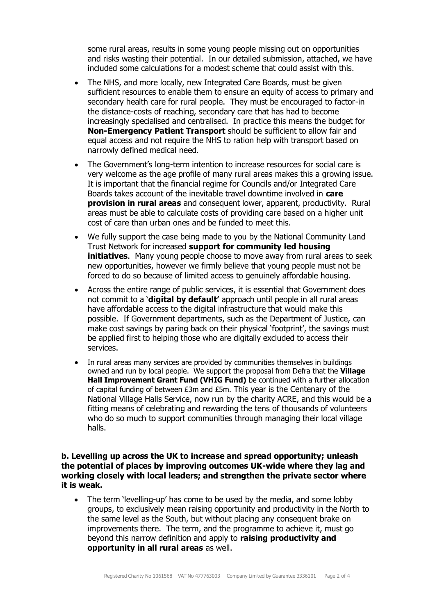some rural areas, results in some young people missing out on opportunities and risks wasting their potential. In our detailed submission, attached, we have included some calculations for a modest scheme that could assist with this.

- The NHS, and more locally, new Integrated Care Boards, must be given sufficient resources to enable them to ensure an equity of access to primary and secondary health care for rural people. They must be encouraged to factor-in the distance-costs of reaching, secondary care that has had to become increasingly specialised and centralised. In practice this means the budget for **Non-Emergency Patient Transport** should be sufficient to allow fair and equal access and not require the NHS to ration help with transport based on narrowly defined medical need.
- The Government's long-term intention to increase resources for social care is very welcome as the age profile of many rural areas makes this a growing issue. It is important that the financial regime for Councils and/or Integrated Care Boards takes account of the inevitable travel downtime involved in **care provision in rural areas** and consequent lower, apparent, productivity. Rural areas must be able to calculate costs of providing care based on a higher unit cost of care than urban ones and be funded to meet this.
- We fully support the case being made to you by the National Community Land Trust Network for increased **support for community led housing initiatives**. Many young people choose to move away from rural areas to seek new opportunities, however we firmly believe that young people must not be forced to do so because of limited access to genuinely affordable housing.
- Across the entire range of public services, it is essential that Government does not commit to a '**digital by default'** approach until people in all rural areas have affordable access to the digital infrastructure that would make this possible. If Government departments, such as the Department of Justice, can make cost savings by paring back on their physical 'footprint', the savings must be applied first to helping those who are digitally excluded to access their services.
- In rural areas many services are provided by communities themselves in buildings owned and run by local people. We support the proposal from Defra that the **Village Hall Improvement Grant Fund (VHIG Fund)** be continued with a further allocation of capital funding of between £3m and £5m. This year is the Centenary of the National Village Halls Service, now run by the charity ACRE, and this would be a fitting means of celebrating and rewarding the tens of thousands of volunteers who do so much to support communities through managing their local village halls.

## **b. Levelling up across the UK to increase and spread opportunity; unleash the potential of places by improving outcomes UK-wide where they lag and working closely with local leaders; and strengthen the private sector where it is weak.**

• The term 'levelling-up' has come to be used by the media, and some lobby groups, to exclusively mean raising opportunity and productivity in the North to the same level as the South, but without placing any consequent brake on improvements there. The term, and the programme to achieve it, must go beyond this narrow definition and apply to **raising productivity and opportunity in all rural areas** as well.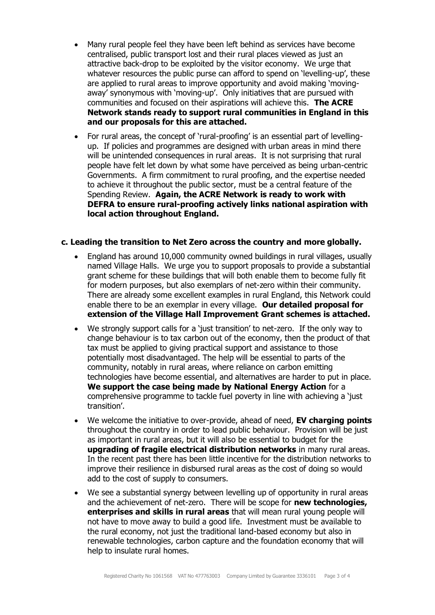- Many rural people feel they have been left behind as services have become centralised, public transport lost and their rural places viewed as just an attractive back-drop to be exploited by the visitor economy. We urge that whatever resources the public purse can afford to spend on 'levelling-up', these are applied to rural areas to improve opportunity and avoid making 'movingaway' synonymous with 'moving-up'. Only initiatives that are pursued with communities and focused on their aspirations will achieve this. **The ACRE Network stands ready to support rural communities in England in this and our proposals for this are attached.**
- For rural areas, the concept of 'rural-proofing' is an essential part of levellingup. If policies and programmes are designed with urban areas in mind there will be unintended consequences in rural areas. It is not surprising that rural people have felt let down by what some have perceived as being urban-centric Governments. A firm commitment to rural proofing, and the expertise needed to achieve it throughout the public sector, must be a central feature of the Spending Review. **Again, the ACRE Network is ready to work with DEFRA to ensure rural-proofing actively links national aspiration with local action throughout England.**

#### **c. Leading the transition to Net Zero across the country and more globally.**

- England has around 10,000 community owned buildings in rural villages, usually named Village Halls. We urge you to support proposals to provide a substantial grant scheme for these buildings that will both enable them to become fully fit for modern purposes, but also exemplars of net-zero within their community. There are already some excellent examples in rural England, this Network could enable there to be an exemplar in every village. **Our detailed proposal for extension of the Village Hall Improvement Grant schemes is attached.**
- We strongly support calls for a 'just transition' to net-zero. If the only way to change behaviour is to tax carbon out of the economy, then the product of that tax must be applied to giving practical support and assistance to those potentially most disadvantaged. The help will be essential to parts of the community, notably in rural areas, where reliance on carbon emitting technologies have become essential, and alternatives are harder to put in place. **We support the case being made by National Energy Action** for a comprehensive programme to tackle fuel poverty in line with achieving a 'just transition'.
- We welcome the initiative to over-provide, ahead of need, **EV charging points** throughout the country in order to lead public behaviour. Provision will be just as important in rural areas, but it will also be essential to budget for the **upgrading of fragile electrical distribution networks** in many rural areas. In the recent past there has been little incentive for the distribution networks to improve their resilience in disbursed rural areas as the cost of doing so would add to the cost of supply to consumers.
- We see a substantial synergy between levelling up of opportunity in rural areas and the achievement of net-zero. There will be scope for **new technologies, enterprises and skills in rural areas** that will mean rural young people will not have to move away to build a good life. Investment must be available to the rural economy, not just the traditional land-based economy but also in renewable technologies, carbon capture and the foundation economy that will help to insulate rural homes.